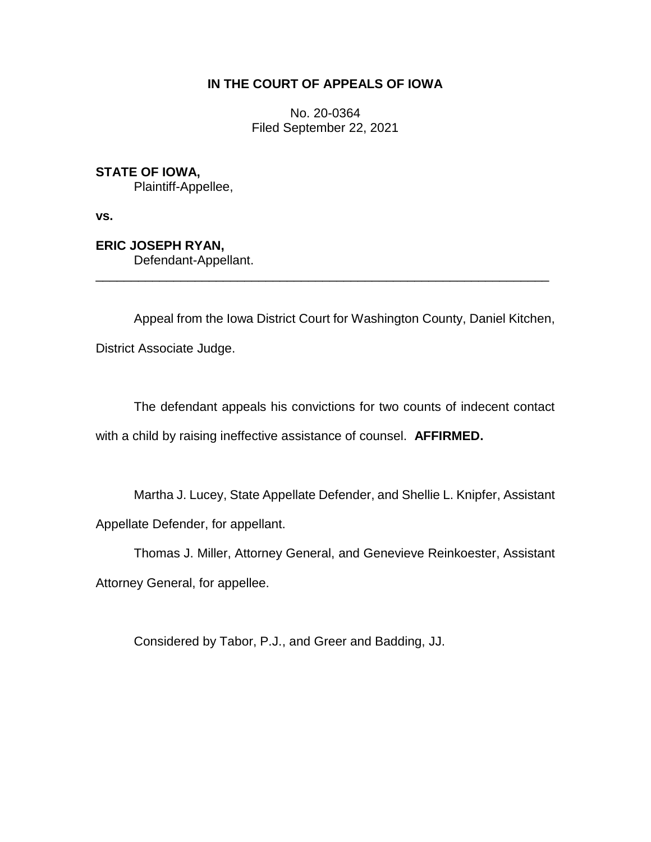## **IN THE COURT OF APPEALS OF IOWA**

No. 20-0364 Filed September 22, 2021

**STATE OF IOWA,**

Plaintiff-Appellee,

**vs.**

**ERIC JOSEPH RYAN,** Defendant-Appellant.

Appeal from the Iowa District Court for Washington County, Daniel Kitchen,

\_\_\_\_\_\_\_\_\_\_\_\_\_\_\_\_\_\_\_\_\_\_\_\_\_\_\_\_\_\_\_\_\_\_\_\_\_\_\_\_\_\_\_\_\_\_\_\_\_\_\_\_\_\_\_\_\_\_\_\_\_\_\_\_

District Associate Judge.

The defendant appeals his convictions for two counts of indecent contact with a child by raising ineffective assistance of counsel. **AFFIRMED.**

Martha J. Lucey, State Appellate Defender, and Shellie L. Knipfer, Assistant Appellate Defender, for appellant.

Thomas J. Miller, Attorney General, and Genevieve Reinkoester, Assistant Attorney General, for appellee.

Considered by Tabor, P.J., and Greer and Badding, JJ.